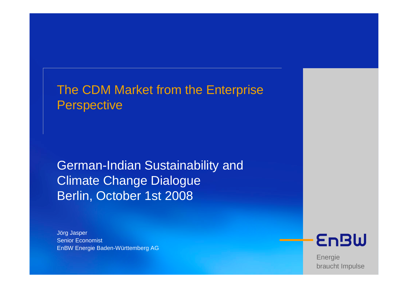# The CDM Market from the Enterprise **Perspective**

German-Indian Sustainability and Climate Change DialogueBerlin, October 1st 2008

Jörg Jasper Senior EconomistEnBW Energie Baden-Württemberg AG



Energie braucht Impulse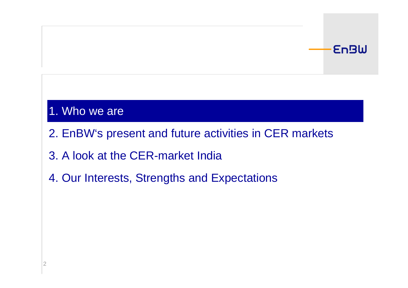## **EnBW**

# 1. Who we are

- 2. EnBW's present and future activities in CER markets
- 3. A look at the CER-market India
- 4. Our Interests, Strengths and Expectations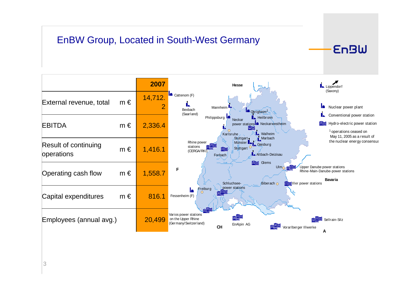## EnBW Group, Located in South-West Germany

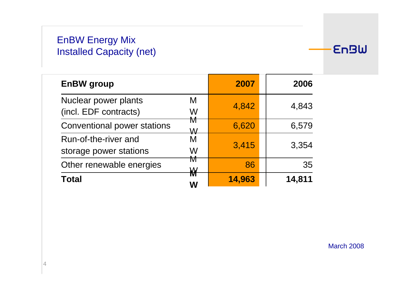## EnBW Energy MixInstalled Capacity (net)

| EnBW group                                               | 2007   | 2006   |
|----------------------------------------------------------|--------|--------|
| Nuclear power plants<br>M<br>(incl. EDF contracts)<br>W  | 4,842  | 4,843  |
| M<br><b>Conventional power stations</b><br>W             | 6,620  | 6,579  |
| Run-of-the-river and<br>M<br>storage power stations<br>W | 3,415  | 3,354  |
| M<br>Other renewable energies                            | 86     | 35     |
| ₩<br><b>Total</b><br>W                                   | 14,963 | 14,811 |

**EnBW** 

March 2008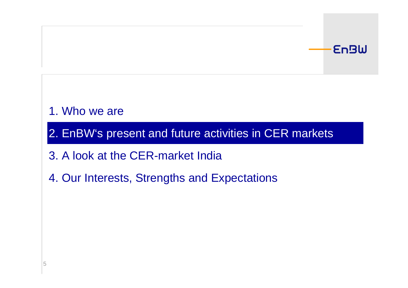## **EnBW**

# 1. Who we are

2. EnBW's present and future activities in CER markets

- 3. A look at the CER-market India
- 4. Our Interests, Strengths and Expectations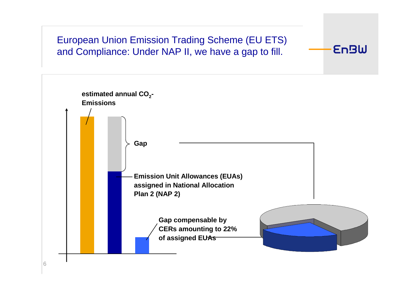## European Union Emission Trading Scheme (EU ETS) and Compliance: Under NAP II, we have a gap to fill.

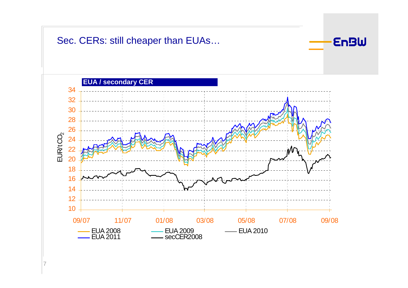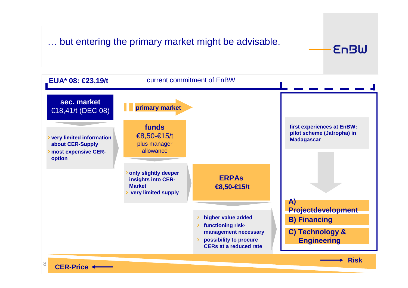## … but entering the primary market might be advisable.



**EnBW** 

**CER-Price**

8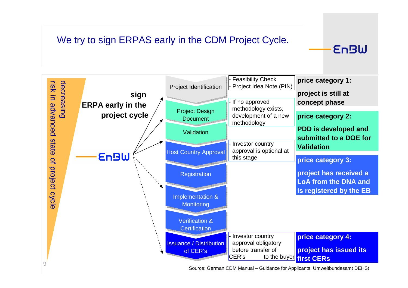## We try to sign ERPAS early in the CDM Project Cycle.



Source: German CDM Manual – Guidance for Applicants, Umweltbundesamt DEHSt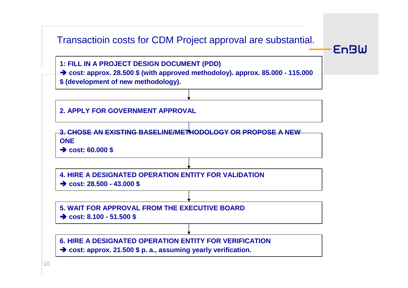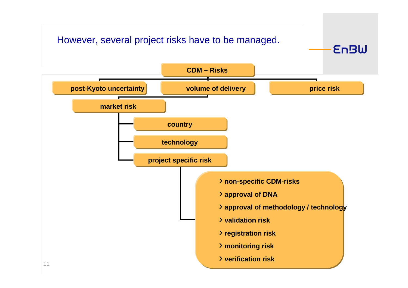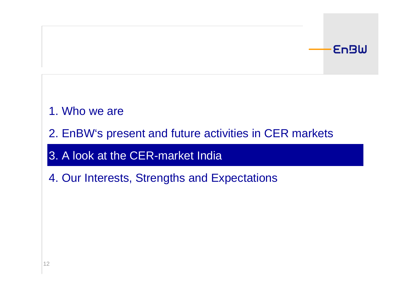## **EnBW**

# 1. Who we are

2. EnBW's present and future activities in CER markets

3. A look at the CER-market India

4. Our Interests, Strengths and Expectations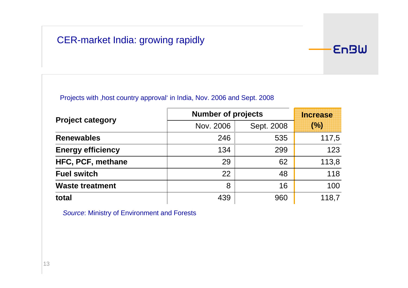## CER-market India: growing rapidly

#### Projects with , host country approval' in India, Nov. 2006 and Sept. 2008

|                          | <b>Number of projects</b> | <b>Increase</b> |       |
|--------------------------|---------------------------|-----------------|-------|
| <b>Project category</b>  | Nov. 2006                 | Sept. 2008      | (%)   |
| <b>Renewables</b>        | 246                       | 535             | 117,5 |
| <b>Energy efficiency</b> | 134                       | 299             | 123   |
| HFC, PCF, methane        | 29                        | 62              | 113,8 |
| <b>Fuel switch</b>       | 22                        | 48              | 118   |
| <b>Waste treatment</b>   | 8                         | 16              | 100   |
| total                    | 439                       | 960             | 118,7 |

**EnBW** 

Source: Ministry of Environment and Forests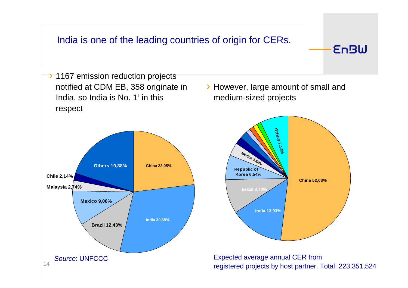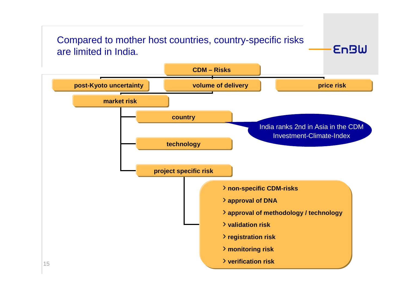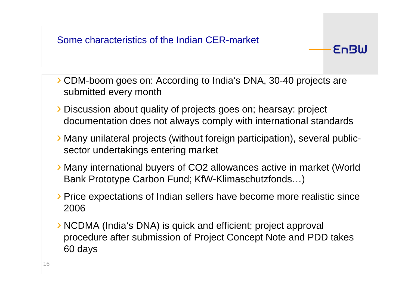

› CDM-boom goes on: According to India's DNA, 30-40 projects aresubmitted every month

- › Discussion about quality of projects goes on; hearsay: project documentation does not always comply with international standards
- › Many unilateral projects (without foreign participation), several publicsector undertakings entering market
- › Many international buyers of CO2 allowances active in market (World Bank Prototype Carbon Fund; KfW-Klimaschutzfonds…)
- › Price expectations of Indian sellers have become more realistic since2006
- › NCDMA (India's DNA) is quick and efficient; project approval procedure after submission of Project Concept Note and PDD takes60 days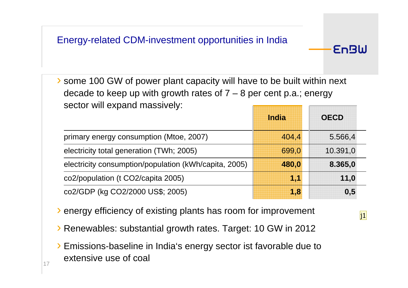› some 100 GW of power plant capacity will have to be built within next decade to keep up with growth rates of  $7 - 8$  per cent p.a.; energy sector will expand massively:

|                                                       | India | <b>OECD</b> |
|-------------------------------------------------------|-------|-------------|
| primary energy consumption (Mtoe, 2007)               | 404,4 | 5.566,4     |
| electricity total generation (TWh; 2005)              | 699,0 | 10.391,0    |
| electricity consumption/population (kWh/capita, 2005) | 480,0 | 8.365,0     |
| co2/population (t CO2/capita 2005)                    | 11    | 11,0        |
| co2/GDP (kg CO2/2000 US\$; 2005)                      | 1,8   | 0,5         |

› energy efficiency of existing plants has room for improvement

› Renewables: substantial growth rates. Target: 10 GW in 2012

› Emissions-baseline in India's energy sector ist favorable due to extensive use of coal

j1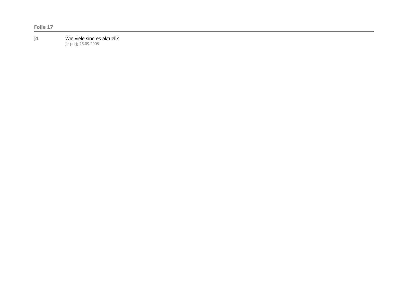#### **j1** Wie viele sind es aktuell?

jasperj; 25.09.2008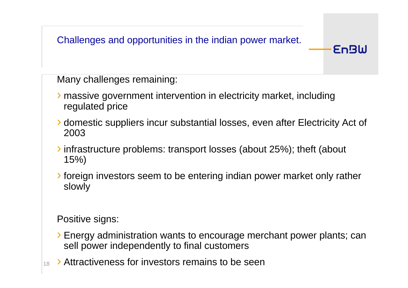Challenges and opportunities in the indian power market.

Many challenges remaining:

- › massive government intervention in electricity market, includingregulated price
- › domestic suppliers incur substantial losses, even after Electricity Act of 2003

**EnBW** 

- ›infrastructure problems: transport losses (about 25%); theft (about 15%)
- ›foreign investors seem to be entering indian power market only ratherslowly

Positive signs:

- › Energy administration wants to encourage merchant power plants; cansell power independently to final customers
- 18› Attractiveness for investors remains to be seen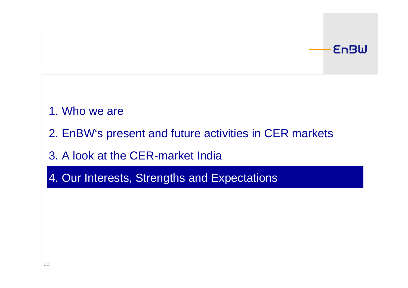## **EnBW**

# 1. Who we are

2. EnBW's present and future activities in CER markets

# 3. A look at the CER-market India

4. Our Interests, Strengths and Expectations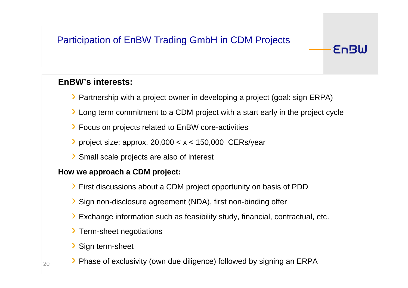## Participation of EnBW Trading GmbH in CDM Projects

### **EnBW's interests:**

- › Partnership with a project owner in developing a project (goal: sign ERPA)
- › Long term commitment to a CDM project with a start early in the project cycle

**EnBW** 

- › Focus on projects related to EnBW core-activities
- $\prime$  project size: approx. 20,000 < x < 150,000 CERs/year
- ›Small scale projects are also of interest

#### **How we approach a CDM project:**

- › First discussions about a CDM project opportunity on basis of PDD
- › Sign non-disclosure agreement (NDA), first non-binding offer
- › Exchange information such as feasibility study, financial, contractual, etc.
- › Term-sheet negotiations
- ›Sign term-sheet
- › Phase of exclusivity (own due diligence) followed by signing an ERPA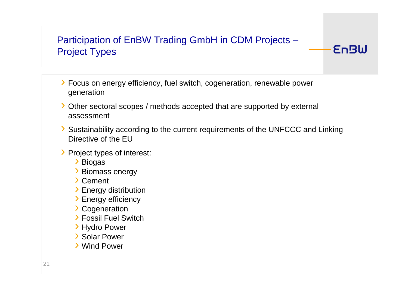## Participation of EnBW Trading GmbH in CDM Projects –Project Types

- › Focus on energy efficiency, fuel switch, cogeneration, renewable power generation
- › Other sectoral scopes / methods accepted that are supported by external assessment
- › Sustainability according to the current requirements of the UNFCCC and Linking Directive of the EU

- › Project types of interest:
	- ›Biogas
	- ›Biomass energy
	- ›**Cement**
	- ›Energy distribution
	- ›Energy efficiency
	- ›**Cogeneration**
	- ›Fossil Fuel Switch
	- ›Hydro Power
	- ›Solar Power
	- ›Wind Power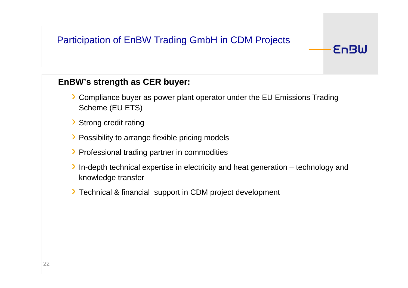## Participation of EnBW Trading GmbH in CDM Projects

#### **EnBW's strength as CER buyer:**

› Compliance buyer as power plant operator under the EU Emissions Trading Scheme (EU ETS)

- › Strong credit rating
- › Possibility to arrange flexible pricing models
- › Professional trading partner in commodities
- › In-depth technical expertise in electricity and heat generation technology and knowledge transfer
- › Technical & financial support in CDM project development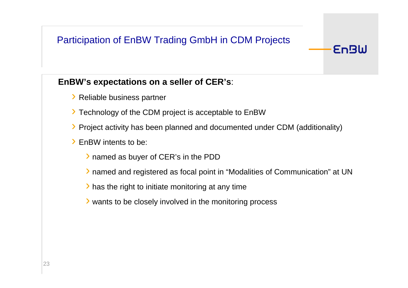## Participation of EnBW Trading GmbH in CDM Projects

#### **EnBW's expectations on a seller of CER's**:

- › Reliable business partner
- › Technology of the CDM project is acceptable to EnBW
- › Project activity has been planned and documented under CDM (additionality)
- › EnBW intents to be:
	- › named as buyer of CER's in the PDD
	- › named and registered as focal point in "Modalities of Communication" at UN

- › has the right to initiate monitoring at any time
- › wants to be closely involved in the monitoring process